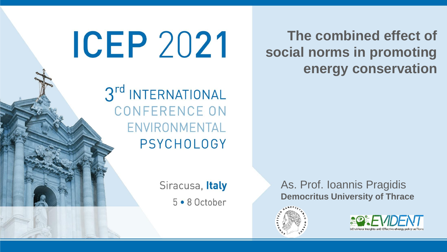**The combined effect of social norms in promoting energy conservation**

3rd INTERNATIONAL **CONFERENCE ON** ENVIRONMENTAL **PSYCHOLOGY** 

**ICEP 2021** 

Siracusa, Italy 5 . 8 October As. Prof. Ioannis Pragidis **Democritus University of Thrace**



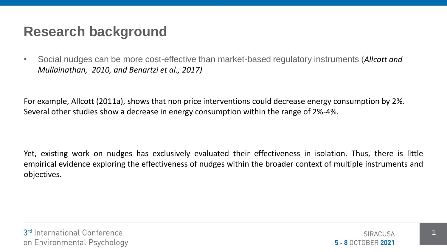## **Research background**

• Social nudges can be more cost-effective than market-based regulatory instruments (*Allcott and Mullainathan, 2010, and Benartzi et al., 2017)*

For example, Allcott (2011a), shows that non price interventions could decrease energy consumption by 2%. Several other studies show a decrease in energy consumption within the range of 2%-4%.

Yet, existing work on nudges has exclusively evaluated their effectiveness in isolation. Thus, there is little empirical evidence exploring the effectiveness of nudges within the broader context of multiple instruments and objectives.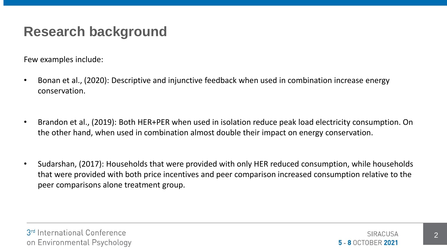## **Research background**

Few examples include:

- Bonan et al., (2020): Descriptive and injunctive feedback when used in combination increase energy conservation.
- Brandon et al., (2019): Both HER+PER when used in isolation reduce peak load electricity consumption. On the other hand, when used in combination almost double their impact on energy conservation.
- Sudarshan, (2017): Households that were provided with only HER reduced consumption, while households that were provided with both price incentives and peer comparison increased consumption relative to the peer comparisons alone treatment group.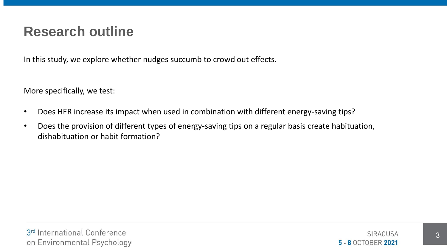#### **Research outline**

In this study, we explore whether nudges succumb to crowd out effects.

#### More specifically, we test:

- Does HER increase its impact when used in combination with different energy-saving tips?
- Does the provision of different types of energy-saving tips on a regular basis create habituation, dishabituation or habit formation?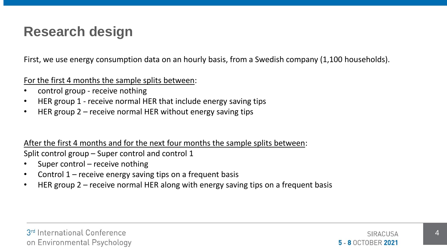#### **Research design**

First, we use energy consumption data on an hourly basis, from a Swedish company (1,100 households).

For the first 4 months the sample splits between:

- control group receive nothing
- HER group 1 receive normal HER that include energy saving tips
- HER group 2 receive normal HER without energy saving tips

After the first 4 months and for the next four months the sample splits between:

Split control group – Super control and control 1

- Super control receive nothing
- Control 1 receive energy saving tips on a frequent basis
- HER group 2 receive normal HER along with energy saving tips on a frequent basis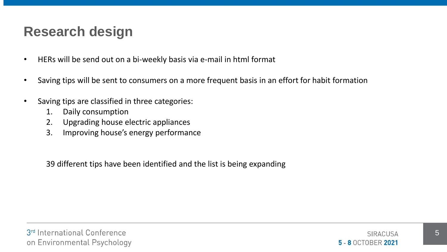## **Research design**

- HERs will be send out on a bi-weekly basis via e-mail in html format
- Saving tips will be sent to consumers on a more frequent basis in an effort for habit formation
- Saving tips are classified in three categories:
	- 1. Daily consumption
	- 2. Upgrading house electric appliances
	- 3. Improving house's energy performance

39 different tips have been identified and the list is being expanding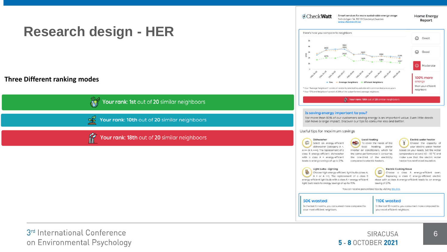

3rd International Conference on Environmental Psychology

SIRACUSA 5 - 8 OCTOBER 2021

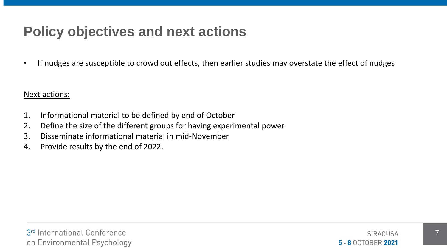# **Policy objectives and next actions**

• If nudges are susceptible to crowd out effects, then earlier studies may overstate the effect of nudges

Next actions:

- 1. Informational material to be defined by end of October
- 2. Define the size of the different groups for having experimental power
- 3. Disseminate informational material in mid-November
- 4. Provide results by the end of 2022.